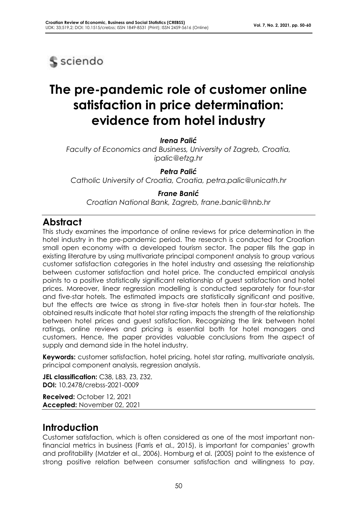

# **The pre-pandemic role of customer online satisfaction in price determination: evidence from hotel industry**

*Irena Palić*

*Faculty of Economics and Business, University of Zagreb, Croatia, ipalic@efzg.hr*

*Petra Palić*

*Catholic University of Croatia, Croatia, petra.palic@unicath.hr*

#### *Frane Banić*

*Croatian National Bank, Zagreb, frane.banic@hnb.hr*

### **Abstract**

This study examines the importance of online reviews for price determination in the hotel industry in the pre-pandemic period. The research is conducted for Croatian small open economy with a developed tourism sector. The paper fills the gap in existing literature by using multivariate principal component analysis to group various customer satisfaction categories in the hotel industry and assessing the relationship between customer satisfaction and hotel price. The conducted empirical analysis points to a positive statistically significant relationship of guest satisfaction and hotel prices. Moreover, linear regression modelling is conducted separately for four-star and five-star hotels. The estimated impacts are statistically significant and positive, but the effects are twice as strong in five-star hotels then in four-star hotels. The obtained results indicate that hotel star rating impacts the strength of the relationship between hotel prices and guest satisfaction. Recognizing the link between hotel ratings, online reviews and pricing is essential both for hotel managers and customers. Hence, the paper provides valuable conclusions from the aspect of supply and demand side in the hotel industry.

**Keywords:** customer satisfaction, hotel pricing, hotel star rating, multivariate analysis, principal component analysis, regression analysis.

**JEL classification:** C38, L83, Z3, Z32. **DOI:** 10.2478/crebss-2021-0009

**Received:** October 12, 2021 **Accepted:** November 02, 2021

## **Introduction**

Customer satisfaction, which is often considered as one of the most important nonfinancial metrics in business (Farris et al., 2015), is important for companies' growth and profitability (Matzler et al., 2006). Homburg et al. (2005) point to the existence of strong positive relation between consumer satisfaction and willingness to pay.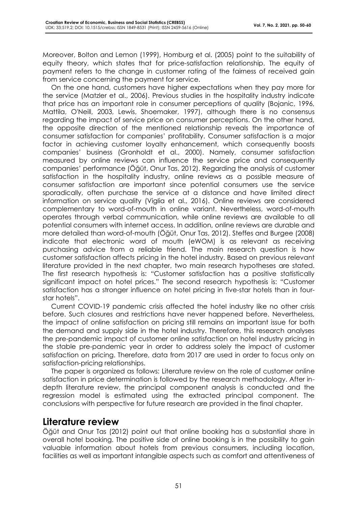Moreover, Bolton and Lemon (1999), Homburg et al. (2005) point to the suitability of equity theory, which states that for price-satisfaction relationship. The equity of payment refers to the change in customer rating of the fairness of received gain from service concerning the payment for service.

On the one hand, customers have higher expectations when they pay more for the service (Matzler et al., 2006). Previous studies in the hospitality industry indicate that price has an important role in consumer perceptions of quality (Bojanic, 1996, Mattila, O'Neill, 2003, Lewis, Shoemaker, 1997), although there is no consensus regarding the impact of service price on consumer perceptions. On the other hand, the opposite direction of the mentioned relationship reveals the importance of consumer satisfaction for companies' profitability. Consumer satisfaction is a major factor in achieving customer loyalty enhancement, which consequently boosts companies' business (Gronholdt et al., 2000). Namely, consumer satisfaction measured by online reviews can influence the service price and consequently companies' performance (Öğüt, Onur Tas, 2012). Regarding the analysis of customer satisfaction in the hospitality industry, online reviews as a possible measure of consumer satisfaction are important since potential consumers use the service sporadically, often purchase the service at a distance and have limited direct information on service quality (Viglia et al., 2016). Online reviews are considered complementary to word-of-mouth in online variant. Nevertheless, word-of-mouth operates through verbal communication, while online reviews are available to all potential consumers with internet access. In addition, online reviews are durable and more detailed than word-of-mouth (Öğüt, Onur Tas, 2012). Steffes and Burgee (2008) indicate that electronic word of mouth (eWOM) is as relevant as receiving purchasing advice from a reliable friend. The main research question is how customer satisfaction affects pricing in the hotel industry. Based on previous relevant literature provided in the next chapter, two main research hypotheses are stated. The first research hypothesis is: "Customer satisfaction has a positive statistically significant impact on hotel prices." The second research hypothesis is: "Customer satisfaction has a stronger influence on hotel pricing in five-star hotels than in fourstar hotels".

Current COVID-19 pandemic crisis affected the hotel industry like no other crisis before. Such closures and restrictions have never happened before. Nevertheless, the impact of online satisfaction on pricing still remains an important issue for both the demand and supply side in the hotel industry. Therefore, this research analyses the pre-pandemic impact of customer online satisfaction on hotel industry pricing in the stable pre-pandemic year in order to address solely the impact of customer satisfaction on pricing. Therefore, data from 2017 are used in order to focus only on satisfaction-pricing relationships.

The paper is organized as follows: Literature review on the role of customer online satisfaction in price determination is followed by the research methodology. After indepth literature review, the principal component analysis is conducted and the regression model is estimated using the extracted principal component. The conclusions with perspective for future research are provided in the final chapter.

#### **Literature review**

Öğüt and Onur Tas (2012) point out that online booking has a substantial share in overall hotel booking. The positive side of online booking is in the possibility to gain valuable information about hotels from previous consumers, including location, facilities as well as important intangible aspects such as comfort and attentiveness of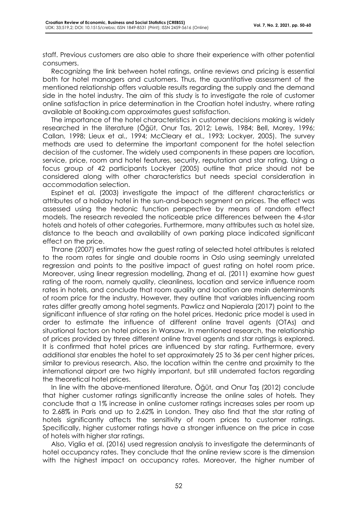staff. Previous customers are also able to share their experience with other potential consumers.

Recognizing the link between hotel ratings, online reviews and pricing is essential both for hotel managers and customers. Thus, the quantitative assessment of the mentioned relationship offers valuable results regarding the supply and the demand side in the hotel industry. The aim of this study is to investigate the role of customer online satisfaction in price determination in the Croatian hotel industry, where rating available at Booking.com approximates guest satisfaction.

The importance of the hotel characteristics in customer decisions making is widely researched in the literature (Öğüt, Onur Tas, 2012; Lewis, 1984; Bell, Morey, 1996; Callan, 1998; Lieux et al., 1994; McCleary et al., 1993; Lockyer, 2005). The survey methods are used to determine the important component for the hotel selection decision of the customer. The widely used components in these papers are location, service, price, room and hotel features, security, reputation and star rating. Using a focus group of 42 participants Lockyer (2005) outline that price should not be considered along with other characteristics but needs special consideration in accommodation selection.

Espinet et al. (2003) investigate the impact of the different characteristics or attributes of a holiday hotel in the sun-and-beach segment on prices. The effect was assessed using the hedonic function perspective by means of random effect models. The research revealed the noticeable price differences between the 4-star hotels and hotels of other categories. Furthermore, many attributes such as hotel size, distance to the beach and availability of own parking place indicated significant effect on the price.

Thrane (2007) estimates how the guest rating of selected hotel attributes is related to the room rates for single and double rooms in Oslo using seemingly unrelated regression and points to the positive impact of guest rating on hotel room price. Moreover, using linear regression modelling, Zhang et al. (2011) examine how guest rating of the room, namely quality, cleanliness, location and service influence room rates in hotels, and conclude that room quality and location are main determinants of room price for the industry. However, they outline that variables influencing room rates differ greatly among hotel segments. Pawlicz and Napierala (2017) point to the significant influence of star rating on the hotel prices. Hedonic price model is used in order to estimate the influence of different online travel agents (OTAs) and situational factors on hotel prices in Warsaw. In mentioned research, the relationship of prices provided by three different online travel agents and star ratings is explored. It is confirmed that hotel prices are influenced by star rating. Furthermore, every additional star enables the hotel to set approximately 25 to 36 per cent higher prices, similar to previous research. Also, the location within the centre and proximity to the international airport are two highly important, but still underrated factors regarding the theoretical hotel prices.

In line with the above-mentioned literature, Öğüt, and Onur Taş (2012) conclude that higher customer ratings significantly increase the online sales of hotels. They conclude that a 1% increase in online customer ratings increases sales per room up to 2.68% in Paris and up to 2.62% in London. They also find that the star rating of hotels significantly affects the sensitivity of room prices to customer ratings. Specifically, higher customer ratings have a stronger influence on the price in case of hotels with higher star ratings.

Also, Viglia et al. (2016) used regression analysis to investigate the determinants of hotel occupancy rates. They conclude that the online review score is the dimension with the highest impact on occupancy rates. Moreover, the higher number of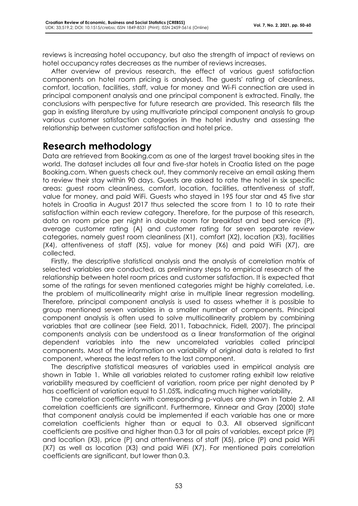reviews is increasing hotel occupancy, but also the strength of impact of reviews on hotel occupancy rates decreases as the number of reviews increases.

After overview of previous research, the effect of various guest satisfaction components on hotel room pricing is analysed. The guests' rating of cleanliness, comfort, location, facilities, staff, value for money and Wi-Fi connection are used in principal component analysis and one principal component is extracted. Finally, the conclusions with perspective for future research are provided. This research fills the gap in existing literature by using multivariate principal component analysis to group various customer satisfaction categories in the hotel industry and assessing the relationship between customer satisfaction and hotel price.

## **Research methodology**

Data are retrieved from Booking.com as one of the largest travel booking sites in the world. The dataset includes all four and five-star hotels in Croatia listed on the page Booking.com. When guests check out, they commonly receive an email asking them to review their stay within 90 days. Guests are asked to rate the hotel in six specific areas: guest room cleanliness, comfort, location, facilities, attentiveness of staff, value for money, and paid WiFi. Guests who stayed in 195 four star and 45 five star hotels in Croatia in August 2017 thus selected the score from 1 to 10 to rate their satisfaction within each review category. Therefore, for the purpose of this research, data on room price per night in double room for breakfast and bed service (P), average customer rating (A) and customer rating for seven separate review categories, namely guest room cleanliness (X1), comfort (X2), location (X3), facilities (X4), attentiveness of staff (X5), value for money (X6) and paid WiFi (X7), are collected.

Firstly, the descriptive statistical analysis and the analysis of correlation matrix of selected variables are conducted, as preliminary steps to empirical research of the relationship between hotel room prices and customer satisfaction. It is expected that some of the ratings for seven mentioned categories might be highly correlated, i.e. the problem of multicollinearity might arise in multiple linear regression modelling. Therefore, principal component analysis is used to assess whether it is possible to group mentioned seven variables in a smaller number of components. Principal component analysis is often used to solve multicollinearity problem by combining variables that are collinear (see Field, 2011, Tabachnick, Fidell, 2007). The principal components analysis can be understood as a linear transformation of the original dependent variables into the new uncorrelated variables called principal components. Most of the information on variability of original data is related to first component, whereas the least refers to the last component.

The descriptive statistical measures of variables used in empirical analysis are shown in Table 1. While all variables related to customer rating exhibit low relative variability measured by coefficient of variation, room price per night denoted by P has coefficient of variation equal to 51.05%, indicating much higher variability.

The correlation coefficients with corresponding p-values are shown in Table 2. All correlation coefficients are significant. Furthermore, Kinnear and Gray (2000) state that component analysis could be implemented if each variable has one or more correlation coefficients higher than or equal to 0.3. All observed significant coefficients are positive and higher than 0.3 for all pairs of variables, except price (P) and location (X3), price (P) and attentiveness of staff (X5), price (P) and paid WiFi (X7) as well as location (X3) and paid WiFi (X7). For mentioned pairs correlation coefficients are significant, but lower than 0.3.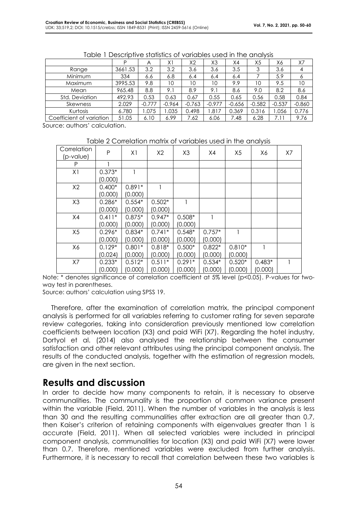|                          | D       | A        | X1       | X <sub>2</sub> | XЗ       | X4       | X5       | Х6       | X7       |
|--------------------------|---------|----------|----------|----------------|----------|----------|----------|----------|----------|
| Range                    | 3661.53 | 3.2      | 3.2      | 3.6            | 3.6      | 3.5      |          | 3.6      | 4        |
| Minimum                  | 334     | 6.6      | 6.8      | 6.4            | 6.4      | 6.4      |          | 5.9      |          |
| Maximum                  | 3995.53 | 9.8      | 10       | 10             | 10       | 9.9      | 10       | 9.5      | 10       |
| Mean                     | 965.48  | 8.8      | 9.1      | 8.9            | 9.1      | 8.6      | 9.0      | 8.2      | 8.6      |
| Std. Deviation           | 492.93  | 0.53     | 0.63     | 0.67           | 0.55     | 0.65     | 0.56     | 0.58     | 0.84     |
| Skewness                 | 2.029   | $-0.777$ | $-0.964$ | $-0.763$       | $-0.977$ | $-0.656$ | $-0.582$ | $-0.537$ | $-0.860$ |
| Kurtosis                 | 6.780   | 1.075    | 1.035    | 0.498          | 1.817    | 0.369    | 0.316    | .056     | 0.776    |
| Coefficient of variation | 51.05   | 6.10     | 6.99     | 7.62           | 6.06     | 7.48     | 6.28     | 7.11     | 9.76     |

Table 1 Descriptive statistics of variables used in the analysis

Source: authors' calculation.

Table 2 Correlation matrix of variables used in the analysis

| Correlation<br>(p-value) | P        | X1       | X2       | X <sub>3</sub> | X4       | X <sub>5</sub> | Х6       | X7 |
|--------------------------|----------|----------|----------|----------------|----------|----------------|----------|----|
| P                        |          |          |          |                |          |                |          |    |
| X <sub>1</sub>           | $0.373*$ |          |          |                |          |                |          |    |
|                          | (0.000)  |          |          |                |          |                |          |    |
| X2                       | $0.400*$ | $0.891*$ |          |                |          |                |          |    |
|                          | (0.000)  | (0.000)  |          |                |          |                |          |    |
| X <sub>3</sub>           | $0.286*$ | $0.554*$ | $0.502*$ |                |          |                |          |    |
|                          | (0.000)  | (0.000)  | (0.000)  |                |          |                |          |    |
| X4                       | $0.411*$ | $0.875*$ | $0.947*$ | $0.508*$       | 1        |                |          |    |
|                          | (0.000)  | (0.000)  | (0.000)  | (0.000)        |          |                |          |    |
| X <sub>5</sub>           | $0.296*$ | $0.834*$ | $0.741*$ | $0.548*$       | $0.757*$ |                |          |    |
|                          | (0.000)  | (0.000)  | (0.000)  | (0.000)        | (0.000)  |                |          |    |
| X6                       | $0.129*$ | $0.801*$ | $0.818*$ | $0.500*$       | $0.822*$ | $0.810*$       |          |    |
|                          | (0.024)  | (0.000)  | (0.000)  | (0.000)        | (0.000)  | (0.000)        |          |    |
| X7                       | $0.233*$ | $0.512*$ | $0.511*$ | $0.291*$       | $0.534*$ | $0.520*$       | $0.483*$ |    |
|                          | (0.000)  | (0.000)  | (0.000)  | (0.000)        | (0.000)  | (0.000)        | (0.000)  |    |

Note: \* denotes significance of correlation coefficient at 5% level (p<0.05). P-values for twoway test in parentheses.

Source: authors' calculation using SPSS 19.

Therefore, after the examination of correlation matrix, the principal component analysis is performed for all variables referring to customer rating for seven separate review categories, taking into consideration previously mentioned low correlation coefficients between location (X3) and paid WiFi (X7). Regarding the hotel industry, Dortyol et al. (2014) also analysed the relationship between the consumer satisfaction and other relevant attributes using the principal component analysis. The results of the conducted analysis, together with the estimation of regression models, are given in the next section.

### **Results and discussion**

In order to decide how many components to retain, it is necessary to observe communalities. The communality is the proportion of common variance present within the variable (Field, 2011). When the number of variables in the analysis is less than 30 and the resulting communalities after extraction are all greater than 0.7, then Kaiser's criterion of retaining components with eigenvalues greater than 1 is accurate (Field, 2011). When all selected variables were included in principal component analysis, communalities for location (X3) and paid WiFi (X7) were lower than 0.7. Therefore, mentioned variables were excluded from further analysis. Furthermore, it is necessary to recall that correlation between these two variables is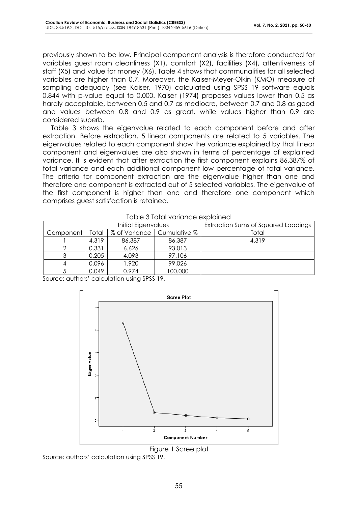previously shown to be low. Principal component analysis is therefore conducted for variables guest room cleanliness (X1), comfort (X2), facilities (X4), attentiveness of staff (X5) and value for money (X6). Table 4 shows that communalities for all selected variables are higher than 0.7. Moreover, the Kaiser-Meyer-Olkin (KMO) measure of sampling adequacy (see Kaiser, 1970) calculated using SPSS 19 software equals 0.844 with p-value equal to 0.000. Kaiser (1974) proposes values lower than 0.5 as hardly acceptable, between 0.5 and 0.7 as mediocre, between 0.7 and 0.8 as good and values between 0.8 and 0.9 as great, while values higher than 0.9 are considered superb.

Table 3 shows the eigenvalue related to each component before and after extraction. Before extraction, 5 linear components are related to 5 variables. The eigenvalues related to each component show the variance explained by that linear component and eigenvalues are also shown in terms of percentage of explained variance. It is evident that after extraction the first component explains 86.387% of total variance and each additional component low percentage of total variance. The criteria for component extraction are the eigenvalue higher than one and therefore one component is extracted out of 5 selected variables. The eigenvalue of the first component is higher than one and therefore one component which comprises guest satisfaction is retained.

| <u>rapio o roial rallarioo oxpialitoa</u> |       |                     |                              |                                     |  |  |
|-------------------------------------------|-------|---------------------|------------------------------|-------------------------------------|--|--|
|                                           |       | Initial Eigenvalues |                              | Extraction Sums of Squared Loadings |  |  |
| Component                                 | Total |                     | % of Variance   Cumulative % | Total                               |  |  |
|                                           | 4.319 | 86.387              | 86.387                       | 4.319                               |  |  |
|                                           | 0.331 | 6.626               | 93.013                       |                                     |  |  |
|                                           | 0.205 | 4.093               | 97.106                       |                                     |  |  |
|                                           | 0.096 | 1.920               | 99.026                       |                                     |  |  |
|                                           | 0.049 | 0.974               | 100.000                      |                                     |  |  |

| Table 3 Total variance explained |  |
|----------------------------------|--|
|                                  |  |

Source: authors' calculation using SPSS 19.



Figure 1 Scree plot

Source: authors' calculation using SPSS 19.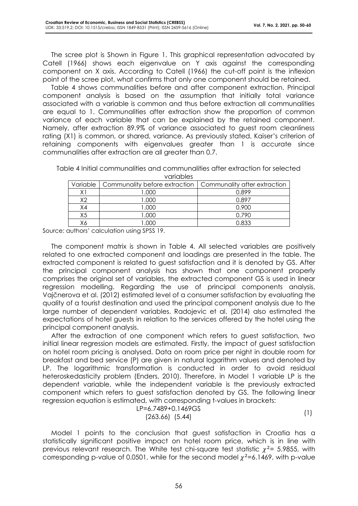The scree plot is Shown in Figure 1. This graphical representation advocated by Catell (1966) shows each eigenvalue on Y axis against the corresponding component on X axis. According to Catell (1966) the cut-off point is the inflexion point of the scree plot, what confirms that only one component should be retained.

Table 4 shows communalities before and after component extraction. Principal component analysis is based on the assumption that initially total variance associated with a variable is common and thus before extraction all communalities are equal to 1. Communalities after extraction show the proportion of common variance of each variable that can be explained by the retained component. Namely, after extraction 89.9% of variance associated to guest room cleanliness rating (X1) is common, or shared, variance. As previously stated, Kaiser's criterion of retaining components with eigenvalues greater than 1 is accurate since communalities after extraction are all greater than 0.7.

Table 4 Initial communalities and communalities after extraction for selected variables

|    | Variable   Communality before extraction   Communality after extraction |       |
|----|-------------------------------------------------------------------------|-------|
|    | .000                                                                    | 0.899 |
| vາ | 000.                                                                    | በ 897 |
| X4 | 000. I                                                                  | 0.900 |
| X5 | .000                                                                    | በ 790 |
|    |                                                                         | በ ጸ33 |

Source: authors' calculation using SPSS 19.

The component matrix is shown in Table 4. All selected variables are positively related to one extracted component and loadings are presented in the table. The extracted component is related to guest satisfaction and it is denoted by GS. After the principal component analysis has shown that one component properly comprises the original set of variables, the extracted component GS is used in linear regression modelling. Regarding the use of principal components analysis, Vajčnerova et al. (2012) estimated level of a consumer satisfaction by evaluating the quality of a tourist destination and used the principal component analysis due to the large number of dependent variables. Radojevic et al. (2014) also estimated the expectations of hotel guests in relation to the services offered by the hotel using the principal component analysis.

After the extraction of one component which refers to guest satisfaction, two initial linear regression models are estimated. Firstly, the impact of guest satisfaction on hotel room pricing is analysed. Data on room price per night in double room for breakfast and bed service (P) are given in natural logarithm values and denoted by LP. The logarithmic transformation is conducted in order to avoid residual heteroskedasticity problem (Enders, 2010). Therefore, in Model 1 variable LP is the dependent variable, while the independent variable is the previously extracted component which refers to guest satisfaction denoted by GS. The following linear regression equation is estimated, with corresponding t-values in brackets:

LP=6.7489+0.1469GS (263.66) (5.44) (1)

Model 1 points to the conclusion that guest satisfaction in Croatia has a statistically significant positive impact on hotel room price, which is in line with previous relevant research. The White test chi-square test statistic  $\chi^2$ = 5.9855, with corresponding p-value of 0.0501, while for the second model  $\chi^2$ =6.1469, with p-value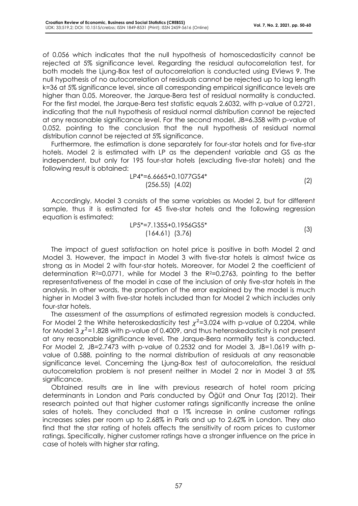of 0.056 which indicates that the null hypothesis of homoscedasticity cannot be rejected at 5% significance level. Regarding the residual autocorrelation test, for both models the Ljung-Box test of autocorrelation is conducted using EViews 9. The null hypothesis of no autocorrelation of residuals cannot be rejected up to lag length k=36 at 5% significance level, since all corresponding empirical significance levels are higher than 0.05. Moreover, the Jarque-Bera test of residual normality is conducted. For the first model, the Jarque-Bera test statistic equals 2.6032, with p-value of 0.2721, indicating that the null hypothesis of residual normal distribution cannot be rejected at any reasonable significance level. For the second model, JB=6.358 with p-value of 0.052, pointing to the conclusion that the null hypothesis of residual normal distribution cannot be rejected at 5% significance.

Furthermore, the estimation is done separately for four-star hotels and for five-star hotels. Model 2 is estimated with LP as the dependent variable and GS as the independent, but only for 195 four-star hotels (excluding five-star hotels) and the following result is obtained:

$$
LP4*=6.6665+0.1077GS4*
$$
\n(256.55) (4.02)

Accordingly, Model 3 consists of the same variables as Model 2, but for different sample, thus it is estimated for 45 five-star hotels and the following regression equation is estimated:

$$
LP5^*=7.1355+0.1956GS5^*
$$
  
(164.61) (3.76) (3)

The impact of guest satisfaction on hotel price is positive in both Model 2 and Model 3. However, the impact in Model 3 with five-star hotels is almost twice as strong as in Model 2 with four-star hotels. Moreover, for Model 2 the coefficient of determination  $R^2=0.0771$ , while for Model 3 the  $R^2=0.2763$ , pointing to the better representativeness of the model in case of the inclusion of only five-star hotels in the analysis. In other words, the proportion of the error explained by the model is much higher in Model 3 with five-star hotels included than for Model 2 which includes only four-star hotels.

The assessment of the assumptions of estimated regression models is conducted. For Model 2 the White heteroskedasticity test  $\chi^2$ =3.024 with p-value of 0.2204, while for Model 3  $\chi^2$ =1.828 with p-value of 0.4009, and thus heteroskedasticity is not present at any reasonable significance level. The Jarque-Bera normality test is conducted. For Model 2, JB=2.7473 with p-value of 0.2532 and for Model 3, JB=1.0619 with pvalue of 0.588, pointing to the normal distribution of residuals at any reasonable significance level. Concerning the Ljung-Box test of autocorrelation, the residual autocorrelation problem is not present neither in Model 2 nor in Model 3 at 5% significance.

Obtained results are in line with previous research of hotel room pricing determinants in London and Paris conducted by Öğüt and Onur Taş (2012). Their research pointed out that higher customer ratings significantly increase the online sales of hotels. They concluded that a 1% increase in online customer ratings increases sales per room up to 2.68% in Paris and up to 2.62% in London. They also find that the star rating of hotels affects the sensitivity of room prices to customer ratings. Specifically, higher customer ratings have a stronger influence on the price in case of hotels with higher star rating.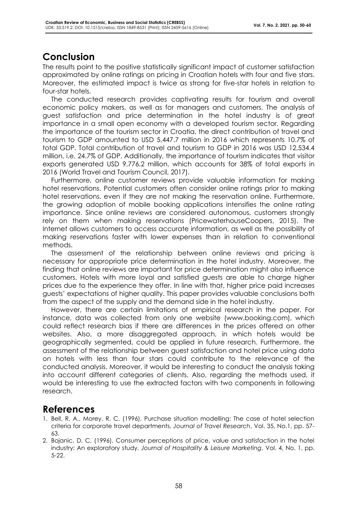## **Conclusion**

The results point to the positive statistically significant impact of customer satisfaction approximated by online ratings on pricing in Croatian hotels with four and five stars. Moreover, the estimated impact is twice as strong for five-star hotels in relation to four-star hotels.

The conducted research provides captivating results for tourism and overall economic policy makers, as well as for managers and customers. The analysis of guest satisfaction and price determination in the hotel industry is of great importance in a small open economy with a developed tourism sector. Regarding the importance of the tourism sector in Croatia, the direct contribution of travel and tourism to GDP amounted to USD 5,447.7 million in 2016 which represents 10.7% of total GDP. Total contribution of travel and tourism to GDP in 2016 was USD 12,534.4 million, i.e. 24.7% of GDP. Additionally, the importance of tourism indicates that visitor exports generated USD 9,776.2 million, which accounts for 38% of total exports in 2016 (World Travel and Tourism Council, 2017).

Furthermore, online customer reviews provide valuable information for making hotel reservations. Potential customers often consider online ratings prior to making hotel reservations, even if they are not making the reservation online. Furthermore, the growing adoption of mobile booking applications intensifies the online rating importance. Since online reviews are considered autonomous, customers strongly rely on them when making reservations (PricewaterhouseCoopers, 2015). The Internet allows customers to access accurate information, as well as the possibility of making reservations faster with lower expenses than in relation to conventional methods.

The assessment of the relationship between online reviews and pricing is necessary for appropriate price determination in the hotel industry. Moreover, the finding that online reviews are important for price determination might also influence customers. Hotels with more loyal and satisfied guests are able to charge higher prices due to the experience they offer. In line with that, higher price paid increases guests' expectations of higher quality. This paper provides valuable conclusions both from the aspect of the supply and the demand side in the hotel industry.

However, there are certain limitations of empirical research in the paper. For instance, data was collected from only one website (www.booking.com), which could reflect research bias if there are differences in the prices offered on other websites. Also, a more disaggregated approach, in which hotels would be geographically segmented, could be applied in future research. Furthermore, the assessment of the relationship between guest satisfaction and hotel price using data on hotels with less than four stars could contribute to the relevance of the conducted analysis. Moreover, it would be interesting to conduct the analysis taking into account different categories of clients. Also, regarding the methods used, it would be interesting to use the extracted factors with two components in following research.

### **References**

- 1. Bell, R. A., Morey, R. C. (1996). Purchase situation modelling: The case of hotel selection criteria for corporate travel departments. *Journal of Travel Research*, Vol. 35, No.1, pp. 57- 63.
- 2. Bojanic, D. C. (1996). Consumer perceptions of price, value and satisfaction in the hotel industry: An exploratory study. *Journal of Hospitality & Leisure Marketing*, Vol. 4, No. 1, pp. 5-22.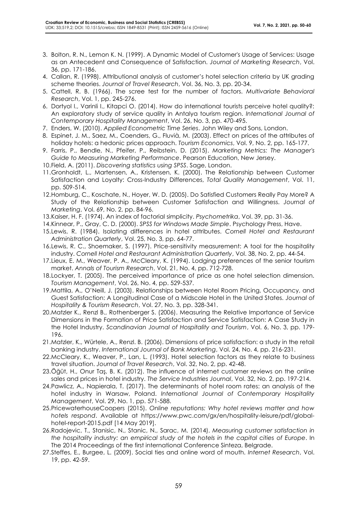- 3. Bolton, R. N., Lemon K. N. (1999). A Dynamic Model of Customer's Usage of Services: Usage as an Antecedent and Consequence of Satisfaction. *Journal of Marketing Research*, Vol. 36, pp. 171-186.
- 4. Callan, R. (1998). Attributional analysis of customer's hotel selection criteria by UK grading scheme theories. *Journal of Travel Research*, Vol. 36, No. 3, pp. 20-34.
- 5. Cattell, R. B. (1966). The scree test for the number of factors. *Multivariate Behavioral Research*, Vol. 1, pp. 245-276.
- 6. Dortyol I., Varinli I., Kitapci O. (2014). How do international tourists perceive hotel quality?: An exploratory study of service quality in Antalya tourism region. *International Journal of Contemporary Hospitality Management*, Vol. 26, No. 3, pp. 470-495.
- 7. Enders, W. (2010). *Applied Econometric Time Series*. John Wiley and Sons, London.
- 8. Espinet, J. M., Saez, M., Coenders, G., Fluvià, M. (2003). Effect on prices of the attributes of holiday hotels: a hedonic prices approach. *Tourism Economics*, Vol. 9, No. 2, pp. 165-177.
- 9. Farris, P., Bendle, N., Pfeifer, P., Reibstein, D. (2015). *Marketing Metrics: The Manager's Guide to Measuring Marketing Performance*. Pearson Education, New Jersey.
- 10.Field, A. (2011). *Discovering statistics using SPSS*. Sage, London.
- 11.Gronholdt, L., Martensen, A., Kristensen, K. (2000). The Relationship between Customer Satisfaction and Loyalty: Cross-Industry Differences, *Total Quality Management*, Vol. 11, pp. 509-514.
- 12.Homburg, C., Koschate, N., Hoyer, W. D. (2005). Do Satisfied Customers Really Pay More? A Study of the Relationship between Customer Satisfaction and Willingness. *Journal of Marketing*, Vol. 69, No. 2, pp. 84-96.
- 13.Kaiser, H. F. (1974). An index of factorial simplicity. *Psychometrika*, Vol. 39, pp. 31-36.
- 14.Kinnear, P., Gray, C. D. (2000). *SPSS for Windows Made Simple*. Psychology Press, Have.
- 15.Lewis, R. (1984). Isolating differences in hotel attributes. *Cornell Hotel and Restaurant Administration Quarterly*, Vol. 25, No. 3, pp. 64-77.
- 16.Lewis, R. C., Shoemaker, S. (1997). Price-sensitivity measurement: A tool for the hospitality industry. *Cornell Hotel and Restaurant Administration Quarterly*, Vol. 38, No. 2, pp. 44-54.
- 17.Lieux, E. M., Weaver, P. A., McCleary, K. (1994). Lodging preferences of the senior tourism market. *Annals of Tourism Research*, Vol. 21, No. 4, pp. 712-728.
- 18.Lockyer, T. (2005). The perceived importance of price as one hotel selection dimension. *Tourism Management*, Vol. 26, No. 4, pp. 529-537.
- 19.Mattila, A., O'Neill, J. (2003). Relationships between Hotel Room Pricing, Occupancy, and Guest Satisfaction: A Longitudinal Case of a Midscale Hotel in the United States. *Journal of Hospitality & Tourism Research*, Vol. 27, No. 3, pp. 328-341.
- 20.Matzler K., Renzl B., Rothenberger S. (2006). Measuring the Relative Importance of Service Dimensions in the Formation of Price Satisfaction and Service Satisfaction: A Case Study in the Hotel Industry. *Scandinavian Journal of Hospitality and Tourism*, Vol. 6, No. 3, pp. 179- 196.
- 21.Matzler, K., Würtele, A., Renzl. B. (2006). Dimensions of price satisfaction: a study in the retail banking industry. *International Journal of Bank Marketing*, Vol. 24, No. 4, pp. 216-231.
- 22.McCleary, K., Weaver, P., Lan, L. (1993). Hotel selection factors as they relate to business travel situation. *Journal of Travel Research*, Vol. 32, No. 2, pp. 42-48.
- 23.Öğüt, H., Onur Taş, B. K. (2012). The influence of internet customer reviews on the online sales and prices in hotel industry. *The Service Industries Journal*, Vol. 32, No. 2, pp. 197-214.
- 24.Pawlicz, A., Napierala, T. (2017). The determinants of hotel room rates: an analysis of the hotel industry in Warsaw, Poland. *International Journal of Contemporary Hospitality Management*, Vol. 29, No. 1, pp. 571-588.
- 25.PricewaterhouseCoopers (2015). *Online reputations: Why hotel reviews matter and how hotels respond*. Available at https://www.pwc.com/gx/en/hospitality-leisure/pdf/globalhotel-report-2015.pdf [14 May 2019].
- 26.Radojevic, T., Stanisic, N., Stanic, N., Sarac, M. (2014). *Measuring customer satisfaction in the hospitality industry: an empirical study of the hotels in the capital cities of Europe*. In The 2014 Proceedings of the first international Conference Sinteza, Belgrade.
- 27.Steffes, E., Burgee, L. (2009). Social ties and online word of mouth. *Internet Research*, Vol. 19, pp. 42-59.